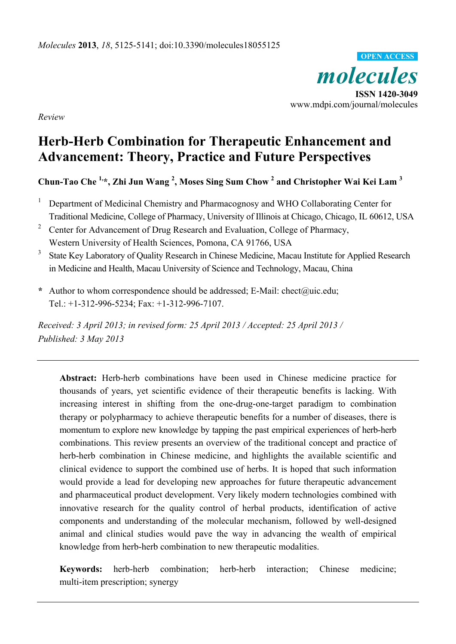

**ISSN 1420-3049**  www.mdpi.com/journal/molecules

*Review* 

# **Herb-Herb Combination for Therapeutic Enhancement and Advancement: Theory, Practice and Future Perspectives**

## **Chun-Tao Che 1,\*, Zhi Jun Wang 2 , Moses Sing Sum Chow <sup>2</sup> and Christopher Wai Kei Lam 3**

- 1 Department of Medicinal Chemistry and Pharmacognosy and WHO Collaborating Center for Traditional Medicine, College of Pharmacy, University of Illinois at Chicago, Chicago, IL 60612, USA
- 2 Center for Advancement of Drug Research and Evaluation, College of Pharmacy, Western University of Health Sciences, Pomona, CA 91766, USA
- 3 State Key Laboratory of Quality Research in Chinese Medicine, Macau Institute for Applied Research in Medicine and Health, Macau University of Science and Technology, Macau, China
- **\*** Author to whom correspondence should be addressed; E-Mail: chect@uic.edu; Tel.: +1-312-996-5234; Fax: +1-312-996-7107.

*Received: 3 April 2013; in revised form: 25 April 2013 / Accepted: 25 April 2013 / Published: 3 May 2013* 

**Abstract:** Herb-herb combinations have been used in Chinese medicine practice for thousands of years, yet scientific evidence of their therapeutic benefits is lacking. With increasing interest in shifting from the one-drug-one-target paradigm to combination therapy or polypharmacy to achieve therapeutic benefits for a number of diseases, there is momentum to explore new knowledge by tapping the past empirical experiences of herb-herb combinations. This review presents an overview of the traditional concept and practice of herb-herb combination in Chinese medicine, and highlights the available scientific and clinical evidence to support the combined use of herbs. It is hoped that such information would provide a lead for developing new approaches for future therapeutic advancement and pharmaceutical product development. Very likely modern technologies combined with innovative research for the quality control of herbal products, identification of active components and understanding of the molecular mechanism, followed by well-designed animal and clinical studies would pave the way in advancing the wealth of empirical knowledge from herb-herb combination to new therapeutic modalities.

**Keywords:** herb-herb combination; herb-herb interaction; Chinese medicine; multi-item prescription; synergy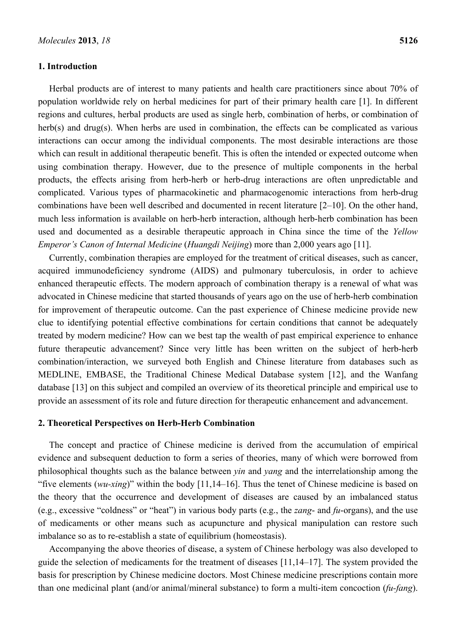#### **1. Introduction**

Herbal products are of interest to many patients and health care practitioners since about 70% of population worldwide rely on herbal medicines for part of their primary health care [1]. In different regions and cultures, herbal products are used as single herb, combination of herbs, or combination of herb(s) and drug(s). When herbs are used in combination, the effects can be complicated as various interactions can occur among the individual components. The most desirable interactions are those which can result in additional therapeutic benefit. This is often the intended or expected outcome when using combination therapy. However, due to the presence of multiple components in the herbal products, the effects arising from herb-herb or herb-drug interactions are often unpredictable and complicated. Various types of pharmacokinetic and pharmacogenomic interactions from herb-drug combinations have been well described and documented in recent literature [2–10]. On the other hand, much less information is available on herb-herb interaction, although herb-herb combination has been used and documented as a desirable therapeutic approach in China since the time of the *Yellow Emperor's Canon of Internal Medicine* (*Huangdi Neijing*) more than 2,000 years ago [11].

Currently, combination therapies are employed for the treatment of critical diseases, such as cancer, acquired immunodeficiency syndrome (AIDS) and pulmonary tuberculosis, in order to achieve enhanced therapeutic effects. The modern approach of combination therapy is a renewal of what was advocated in Chinese medicine that started thousands of years ago on the use of herb-herb combination for improvement of therapeutic outcome. Can the past experience of Chinese medicine provide new clue to identifying potential effective combinations for certain conditions that cannot be adequately treated by modern medicine? How can we best tap the wealth of past empirical experience to enhance future therapeutic advancement? Since very little has been written on the subject of herb-herb combination/interaction, we surveyed both English and Chinese literature from databases such as MEDLINE, EMBASE, the Traditional Chinese Medical Database system [12], and the Wanfang database [13] on this subject and compiled an overview of its theoretical principle and empirical use to provide an assessment of its role and future direction for therapeutic enhancement and advancement.

#### **2. Theoretical Perspectives on Herb-Herb Combination**

The concept and practice of Chinese medicine is derived from the accumulation of empirical evidence and subsequent deduction to form a series of theories, many of which were borrowed from philosophical thoughts such as the balance between *yin* and *yang* and the interrelationship among the "five elements (*wu-xing*)" within the body [11,14–16]. Thus the tenet of Chinese medicine is based on the theory that the occurrence and development of diseases are caused by an imbalanced status (e.g., excessive "coldness" or "heat") in various body parts (e.g., the *zang*- and *fu*-organs), and the use of medicaments or other means such as acupuncture and physical manipulation can restore such imbalance so as to re-establish a state of equilibrium (homeostasis).

Accompanying the above theories of disease, a system of Chinese herbology was also developed to guide the selection of medicaments for the treatment of diseases [11,14–17]. The system provided the basis for prescription by Chinese medicine doctors. Most Chinese medicine prescriptions contain more than one medicinal plant (and/or animal/mineral substance) to form a multi-item concoction (*fu-fang*).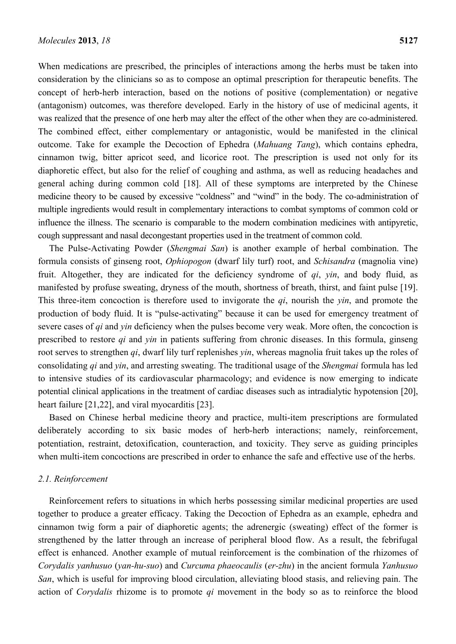When medications are prescribed, the principles of interactions among the herbs must be taken into consideration by the clinicians so as to compose an optimal prescription for therapeutic benefits. The concept of herb-herb interaction, based on the notions of positive (complementation) or negative (antagonism) outcomes, was therefore developed. Early in the history of use of medicinal agents, it was realized that the presence of one herb may alter the effect of the other when they are co-administered. The combined effect, either complementary or antagonistic, would be manifested in the clinical outcome. Take for example the Decoction of Ephedra (*Mahuang Tang*), which contains ephedra, cinnamon twig, bitter apricot seed, and licorice root. The prescription is used not only for its diaphoretic effect, but also for the relief of coughing and asthma, as well as reducing headaches and general aching during common cold [18]. All of these symptoms are interpreted by the Chinese medicine theory to be caused by excessive "coldness" and "wind" in the body. The co-administration of multiple ingredients would result in complementary interactions to combat symptoms of common cold or influence the illness. The scenario is comparable to the modern combination medicines with antipyretic, cough suppressant and nasal decongestant properties used in the treatment of common cold.

The Pulse-Activating Powder (*Shengmai San*) is another example of herbal combination. The formula consists of ginseng root, *Ophiopogon* (dwarf lily turf) root, and *Schisandra* (magnolia vine) fruit. Altogether, they are indicated for the deficiency syndrome of *qi*, *yin*, and body fluid, as manifested by profuse sweating, dryness of the mouth, shortness of breath, thirst, and faint pulse [19]. This three-item concoction is therefore used to invigorate the *qi*, nourish the *yin*, and promote the production of body fluid. It is "pulse-activating" because it can be used for emergency treatment of severe cases of *qi* and *yin* deficiency when the pulses become very weak. More often, the concoction is prescribed to restore *qi* and *yin* in patients suffering from chronic diseases. In this formula, ginseng root serves to strengthen *qi*, dwarf lily turf replenishes *yin*, whereas magnolia fruit takes up the roles of consolidating *qi* and *yin*, and arresting sweating. The traditional usage of the *Shengmai* formula has led to intensive studies of its cardiovascular pharmacology; and evidence is now emerging to indicate potential clinical applications in the treatment of cardiac diseases such as intradialytic hypotension [20], heart failure [21,22], and viral myocarditis [23].

Based on Chinese herbal medicine theory and practice, multi-item prescriptions are formulated deliberately according to six basic modes of herb-herb interactions; namely, reinforcement, potentiation, restraint, detoxification, counteraction, and toxicity. They serve as guiding principles when multi-item concoctions are prescribed in order to enhance the safe and effective use of the herbs.

#### *2.1. Reinforcement*

Reinforcement refers to situations in which herbs possessing similar medicinal properties are used together to produce a greater efficacy. Taking the Decoction of Ephedra as an example, ephedra and cinnamon twig form a pair of diaphoretic agents; the adrenergic (sweating) effect of the former is strengthened by the latter through an increase of peripheral blood flow. As a result, the febrifugal effect is enhanced. Another example of mutual reinforcement is the combination of the rhizomes of *Corydalis yanhusuo* (*yan-hu-suo*) and *Curcuma phaeocaulis* (*er-zhu*) in the ancient formula *Yanhusuo San*, which is useful for improving blood circulation, alleviating blood stasis, and relieving pain. The action of *Corydalis* rhizome is to promote *qi* movement in the body so as to reinforce the blood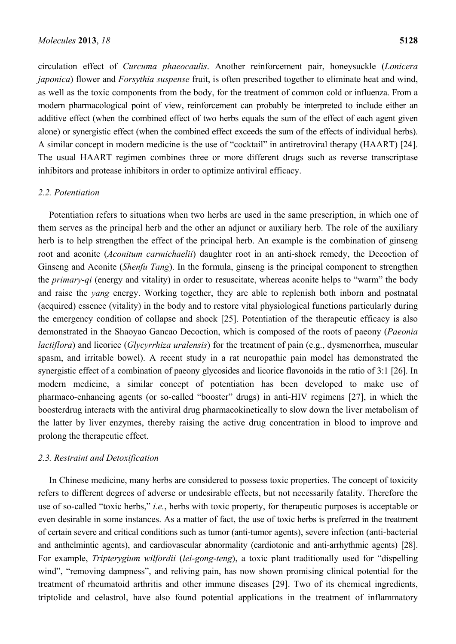circulation effect of *Curcuma phaeocaulis*. Another reinforcement pair, honeysuckle (*Lonicera japonica*) flower and *Forsythia suspense* fruit, is often prescribed together to eliminate heat and wind, as well as the toxic components from the body, for the treatment of common cold or influenza. From a modern pharmacological point of view, reinforcement can probably be interpreted to include either an additive effect (when the combined effect of two herbs equals the sum of the effect of each agent given alone) or synergistic effect (when the combined effect exceeds the sum of the effects of individual herbs). A similar concept in modern medicine is the use of "cocktail" in antiretroviral therapy (HAART) [24]. The usual HAART regimen combines three or more different drugs such as reverse transcriptase inhibitors and protease inhibitors in order to optimize antiviral efficacy.

#### *2.2. Potentiation*

Potentiation refers to situations when two herbs are used in the same prescription, in which one of them serves as the principal herb and the other an adjunct or auxiliary herb. The role of the auxiliary herb is to help strengthen the effect of the principal herb. An example is the combination of ginseng root and aconite (*Aconitum carmichaelii*) daughter root in an anti-shock remedy, the Decoction of Ginseng and Aconite (*Shenfu Tang*). In the formula, ginseng is the principal component to strengthen the *primary-qi* (energy and vitality) in order to resuscitate, whereas aconite helps to "warm" the body and raise the *yang* energy. Working together, they are able to replenish both inborn and postnatal (acquired) essence (vitality) in the body and to restore vital physiological functions particularly during the emergency condition of collapse and shock [25]. Potentiation of the therapeutic efficacy is also demonstrated in the Shaoyao Gancao Decoction, which is composed of the roots of paeony (*Paeonia lactiflora*) and licorice (*Glycyrrhiza uralensis*) for the treatment of pain (e.g., dysmenorrhea, muscular spasm, and irritable bowel). A recent study in a rat neuropathic pain model has demonstrated the synergistic effect of a combination of paeony glycosides and licorice flavonoids in the ratio of 3:1 [26]. In modern medicine, a similar concept of potentiation has been developed to make use of pharmaco-enhancing agents (or so-called "booster" drugs) in anti-HIV regimens [27], in which the boosterdrug interacts with the antiviral drug pharmacokinetically to slow down the liver metabolism of the latter by liver enzymes, thereby raising the active drug concentration in blood to improve and prolong the therapeutic effect.

#### *2.3. Restraint and Detoxification*

In Chinese medicine, many herbs are considered to possess toxic properties. The concept of toxicity refers to different degrees of adverse or undesirable effects, but not necessarily fatality. Therefore the use of so-called "toxic herbs," *i.e.*, herbs with toxic property, for therapeutic purposes is acceptable or even desirable in some instances. As a matter of fact, the use of toxic herbs is preferred in the treatment of certain severe and critical conditions such as tumor (anti-tumor agents), severe infection (anti-bacterial and anthelmintic agents), and cardiovascular abnormality (cardiotonic and anti-arrhythmic agents) [28]. For example, *Tripterygium wilfordii* (*lei-gong-teng*), a toxic plant traditionally used for "dispelling wind", "removing dampness", and reliving pain, has now shown promising clinical potential for the treatment of rheumatoid arthritis and other immune diseases [29]. Two of its chemical ingredients, triptolide and celastrol, have also found potential applications in the treatment of inflammatory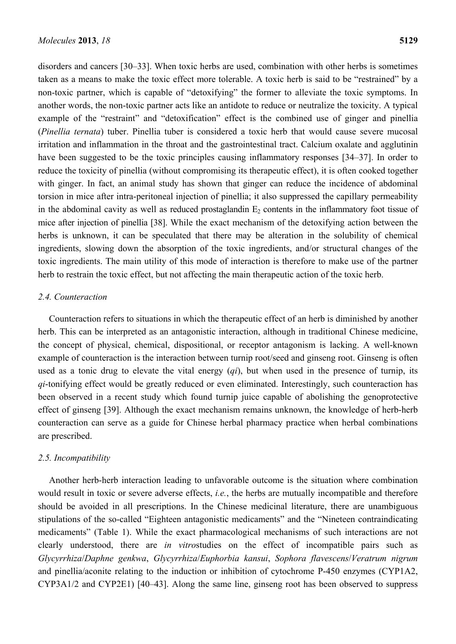disorders and cancers [30–33]. When toxic herbs are used, combination with other herbs is sometimes taken as a means to make the toxic effect more tolerable. A toxic herb is said to be "restrained" by a non-toxic partner, which is capable of "detoxifying" the former to alleviate the toxic symptoms. In another words, the non-toxic partner acts like an antidote to reduce or neutralize the toxicity. A typical example of the "restraint" and "detoxification" effect is the combined use of ginger and pinellia (*Pinellia ternata*) tuber. Pinellia tuber is considered a toxic herb that would cause severe mucosal irritation and inflammation in the throat and the gastrointestinal tract. Calcium oxalate and agglutinin have been suggested to be the toxic principles causing inflammatory responses [34–37]. In order to reduce the toxicity of pinellia (without compromising its therapeutic effect), it is often cooked together with ginger. In fact, an animal study has shown that ginger can reduce the incidence of abdominal torsion in mice after intra-peritoneal injection of pinellia; it also suppressed the capillary permeability in the abdominal cavity as well as reduced prostaglandin  $E_2$  contents in the inflammatory foot tissue of mice after injection of pinellia [38]. While the exact mechanism of the detoxifying action between the herbs is unknown, it can be speculated that there may be alteration in the solubility of chemical ingredients, slowing down the absorption of the toxic ingredients, and/or structural changes of the toxic ingredients. The main utility of this mode of interaction is therefore to make use of the partner herb to restrain the toxic effect, but not affecting the main therapeutic action of the toxic herb.

## *2.4. Counteraction*

Counteraction refers to situations in which the therapeutic effect of an herb is diminished by another herb. This can be interpreted as an antagonistic interaction, although in traditional Chinese medicine, the concept of physical, chemical, dispositional, or receptor antagonism is lacking. A well-known example of counteraction is the interaction between turnip root/seed and ginseng root. Ginseng is often used as a tonic drug to elevate the vital energy (*qi*), but when used in the presence of turnip, its *qi*-tonifying effect would be greatly reduced or even eliminated. Interestingly, such counteraction has been observed in a recent study which found turnip juice capable of abolishing the genoprotective effect of ginseng [39]. Although the exact mechanism remains unknown, the knowledge of herb-herb counteraction can serve as a guide for Chinese herbal pharmacy practice when herbal combinations are prescribed.

#### *2.5. Incompatibility*

Another herb-herb interaction leading to unfavorable outcome is the situation where combination would result in toxic or severe adverse effects, *i.e.*, the herbs are mutually incompatible and therefore should be avoided in all prescriptions. In the Chinese medicinal literature, there are unambiguous stipulations of the so-called "Eighteen antagonistic medicaments" and the "Nineteen contraindicating medicaments" (Table 1). While the exact pharmacological mechanisms of such interactions are not clearly understood, there are *in vitro*studies on the effect of incompatible pairs such as *Glycyrrhiza*/*Daphne genkwa*, *Glycyrrhiza*/*Euphorbia kansui*, *Sophora flavescens*/*Veratrum nigrum* and pinellia/aconite relating to the induction or inhibition of cytochrome P-450 enzymes (CYP1A2, CYP3A1/2 and CYP2E1) [40–43]. Along the same line, ginseng root has been observed to suppress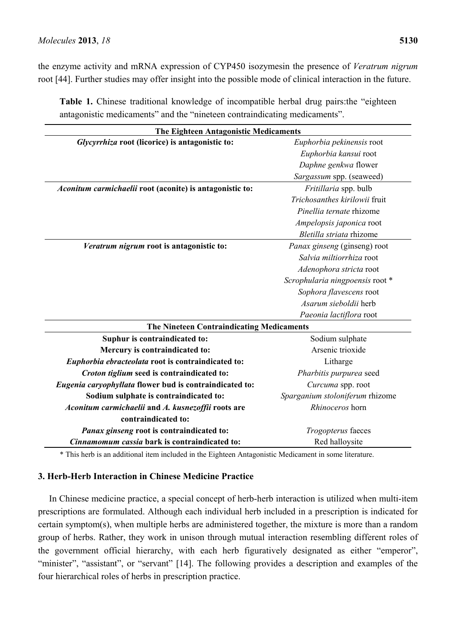the enzyme activity and mRNA expression of CYP450 isozymesin the presence of *Veratrum nigrum* root [44]. Further studies may offer insight into the possible mode of clinical interaction in the future.

| <b>Table 1.</b> Chinese traditional knowledge of incompatible herbal drug pairs: the "eighteen" |  |
|-------------------------------------------------------------------------------------------------|--|
| antagonistic medicaments" and the "nineteen contraindicating medicaments".                      |  |

| <b>The Eighteen Antagonistic Medicaments</b>             |                                 |
|----------------------------------------------------------|---------------------------------|
| Glycyrrhiza root (licorice) is antagonistic to:          | Euphorbia pekinensis root       |
|                                                          | Euphorbia kansui root           |
|                                                          | Daphne genkwa flower            |
|                                                          | Sargassum spp. (seaweed)        |
| Aconitum carmichaelii root (aconite) is antagonistic to: | Fritillaria spp. bulb           |
|                                                          | Trichosanthes kirilowii fruit   |
|                                                          | Pinellia ternate rhizome        |
|                                                          | Ampelopsis japonica root        |
|                                                          | Bletilla striata rhizome        |
| Veratrum nigrum root is antagonistic to:                 | Panax ginseng (ginseng) root    |
|                                                          | Salvia miltiorrhiza root        |
|                                                          | Adenophora stricta root         |
|                                                          | Scrophularia ningpoensis root * |
|                                                          | Sophora flavescens root         |
|                                                          | Asarum sieboldii herb           |
|                                                          | Paeonia lactiflora root         |
| The Nineteen Contraindicating Medicaments                |                                 |
| Suphur is contraindicated to:                            | Sodium sulphate                 |
| Mercury is contraindicated to:                           | Arsenic trioxide                |
| Euphorbia ebracteolata root is contraindicated to:       | Litharge                        |
| Croton tiglium seed is contraindicated to:               | Pharbitis purpurea seed         |
| Eugenia caryophyllata flower bud is contraindicated to:  | Curcuma spp. root               |
| Sodium sulphate is contraindicated to:                   | Sparganium stoloniferum rhizome |
| Aconitum carmichaelii and A. kusnezoffii roots are       | Rhinoceros horn                 |
| contraindicated to:                                      |                                 |
| Panax ginseng root is contraindicated to:                | Trogopterus faeces              |
| Cinnamomum cassia bark is contraindicated to:            | Red halloysite                  |

\* This herb is an additional item included in the Eighteen Antagonistic Medicament in some literature.

## **3. Herb-Herb Interaction in Chinese Medicine Practice**

In Chinese medicine practice, a special concept of herb-herb interaction is utilized when multi-item prescriptions are formulated. Although each individual herb included in a prescription is indicated for certain symptom(s), when multiple herbs are administered together, the mixture is more than a random group of herbs. Rather, they work in unison through mutual interaction resembling different roles of the government official hierarchy, with each herb figuratively designated as either "emperor", "minister", "assistant", or "servant" [14]. The following provides a description and examples of the four hierarchical roles of herbs in prescription practice.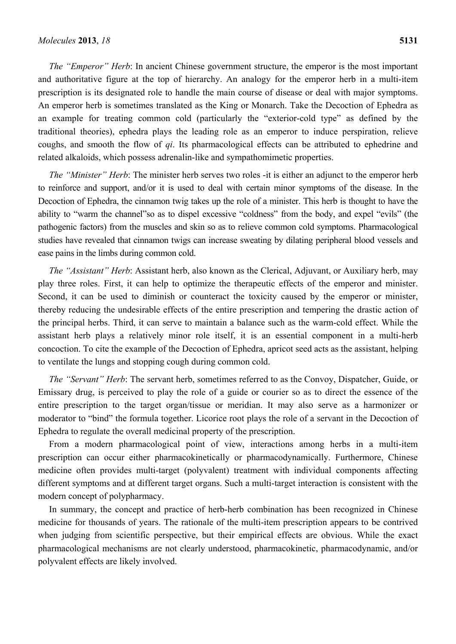*The "Emperor" Herb*: In ancient Chinese government structure, the emperor is the most important and authoritative figure at the top of hierarchy. An analogy for the emperor herb in a multi-item prescription is its designated role to handle the main course of disease or deal with major symptoms. An emperor herb is sometimes translated as the King or Monarch. Take the Decoction of Ephedra as an example for treating common cold (particularly the "exterior-cold type" as defined by the traditional theories), ephedra plays the leading role as an emperor to induce perspiration, relieve coughs, and smooth the flow of *qi*. Its pharmacological effects can be attributed to ephedrine and related alkaloids, which possess adrenalin-like and sympathomimetic properties.

*The "Minister" Herb*: The minister herb serves two roles -it is either an adjunct to the emperor herb to reinforce and support, and/or it is used to deal with certain minor symptoms of the disease. In the Decoction of Ephedra, the cinnamon twig takes up the role of a minister. This herb is thought to have the ability to "warm the channel"so as to dispel excessive "coldness" from the body, and expel "evils" (the pathogenic factors) from the muscles and skin so as to relieve common cold symptoms. Pharmacological studies have revealed that cinnamon twigs can increase sweating by dilating peripheral blood vessels and ease pains in the limbs during common cold.

*The "Assistant" Herb*: Assistant herb, also known as the Clerical, Adjuvant, or Auxiliary herb, may play three roles. First, it can help to optimize the therapeutic effects of the emperor and minister. Second, it can be used to diminish or counteract the toxicity caused by the emperor or minister, thereby reducing the undesirable effects of the entire prescription and tempering the drastic action of the principal herbs. Third, it can serve to maintain a balance such as the warm-cold effect. While the assistant herb plays a relatively minor role itself, it is an essential component in a multi-herb concoction. To cite the example of the Decoction of Ephedra, apricot seed acts as the assistant, helping to ventilate the lungs and stopping cough during common cold.

*The "Servant" Herb*: The servant herb, sometimes referred to as the Convoy, Dispatcher, Guide, or Emissary drug, is perceived to play the role of a guide or courier so as to direct the essence of the entire prescription to the target organ/tissue or meridian. It may also serve as a harmonizer or moderator to "bind" the formula together. Licorice root plays the role of a servant in the Decoction of Ephedra to regulate the overall medicinal property of the prescription.

From a modern pharmacological point of view, interactions among herbs in a multi-item prescription can occur either pharmacokinetically or pharmacodynamically. Furthermore, Chinese medicine often provides multi-target (polyvalent) treatment with individual components affecting different symptoms and at different target organs. Such a multi-target interaction is consistent with the modern concept of polypharmacy.

In summary, the concept and practice of herb-herb combination has been recognized in Chinese medicine for thousands of years. The rationale of the multi-item prescription appears to be contrived when judging from scientific perspective, but their empirical effects are obvious. While the exact pharmacological mechanisms are not clearly understood, pharmacokinetic, pharmacodynamic, and/or polyvalent effects are likely involved.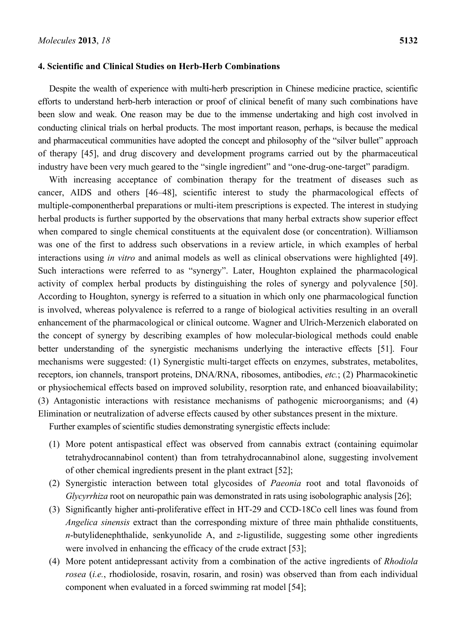#### **4. Scientific and Clinical Studies on Herb-Herb Combinations**

Despite the wealth of experience with multi-herb prescription in Chinese medicine practice, scientific efforts to understand herb-herb interaction or proof of clinical benefit of many such combinations have been slow and weak. One reason may be due to the immense undertaking and high cost involved in conducting clinical trials on herbal products. The most important reason, perhaps, is because the medical and pharmaceutical communities have adopted the concept and philosophy of the "silver bullet" approach of therapy [45], and drug discovery and development programs carried out by the pharmaceutical industry have been very much geared to the "single ingredient" and "one-drug-one-target" paradigm.

With increasing acceptance of combination therapy for the treatment of diseases such as cancer, AIDS and others [46–48], scientific interest to study the pharmacological effects of multiple-componentherbal preparations or multi-item prescriptions is expected. The interest in studying herbal products is further supported by the observations that many herbal extracts show superior effect when compared to single chemical constituents at the equivalent dose (or concentration). Williamson was one of the first to address such observations in a review article, in which examples of herbal interactions using *in vitro* and animal models as well as clinical observations were highlighted [49]. Such interactions were referred to as "synergy". Later, Houghton explained the pharmacological activity of complex herbal products by distinguishing the roles of synergy and polyvalence [50]. According to Houghton, synergy is referred to a situation in which only one pharmacological function is involved, whereas polyvalence is referred to a range of biological activities resulting in an overall enhancement of the pharmacological or clinical outcome. Wagner and Ulrich-Merzenich elaborated on the concept of synergy by describing examples of how molecular-biological methods could enable better understanding of the synergistic mechanisms underlying the interactive effects [51]. Four mechanisms were suggested: (1) Synergistic multi-target effects on enzymes, substrates, metabolites, receptors, ion channels, transport proteins, DNA/RNA, ribosomes, antibodies, *etc.*; (2) Pharmacokinetic or physiochemical effects based on improved solubility, resorption rate, and enhanced bioavailability; (3) Antagonistic interactions with resistance mechanisms of pathogenic microorganisms; and (4) Elimination or neutralization of adverse effects caused by other substances present in the mixture.

Further examples of scientific studies demonstrating synergistic effects include:

- (1) More potent antispastical effect was observed from cannabis extract (containing equimolar tetrahydrocannabinol content) than from tetrahydrocannabinol alone, suggesting involvement of other chemical ingredients present in the plant extract [52];
- (2) Synergistic interaction between total glycosides of *Paeonia* root and total flavonoids of *Glycyrrhiza* root on neuropathic pain was demonstrated in rats using isobolographic analysis [26];
- (3) Significantly higher anti-proliferative effect in HT-29 and CCD-18Co cell lines was found from *Angelica sinensis* extract than the corresponding mixture of three main phthalide constituents, *n*-butylidenephthalide, senkyunolide A, and *z*-ligustilide, suggesting some other ingredients were involved in enhancing the efficacy of the crude extract [53];
- (4) More potent antidepressant activity from a combination of the active ingredients of *Rhodiola rosea* (*i.e.*, rhodioloside, rosavin, rosarin, and rosin) was observed than from each individual component when evaluated in a forced swimming rat model [54];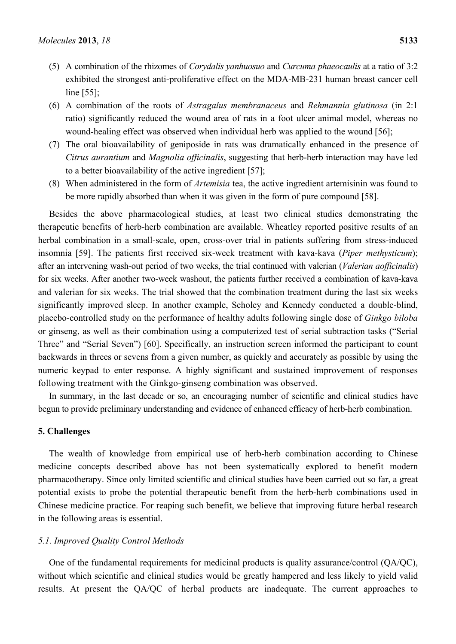- (5) A combination of the rhizomes of *Corydalis yanhuosuo* and *Curcuma phaeocaulis* at a ratio of 3:2 exhibited the strongest anti-proliferative effect on the MDA-MB-231 human breast cancer cell line [55];
- (6) A combination of the roots of *Astragalus membranaceus* and *Rehmannia glutinosa* (in 2:1 ratio) significantly reduced the wound area of rats in a foot ulcer animal model, whereas no wound-healing effect was observed when individual herb was applied to the wound [56];
- (7) The oral bioavailability of geniposide in rats was dramatically enhanced in the presence of *Citrus aurantium* and *Magnolia officinalis*, suggesting that herb-herb interaction may have led to a better bioavailability of the active ingredient [57];
- (8) When administered in the form of *Artemisia* tea, the active ingredient artemisinin was found to be more rapidly absorbed than when it was given in the form of pure compound [58].

Besides the above pharmacological studies, at least two clinical studies demonstrating the therapeutic benefits of herb-herb combination are available. Wheatley reported positive results of an herbal combination in a small-scale, open, cross-over trial in patients suffering from stress-induced insomnia [59]. The patients first received six-week treatment with kava-kava (*Piper methysticum*); after an intervening wash-out period of two weeks, the trial continued with valerian (*Valerian aofficinalis*) for six weeks. After another two-week washout, the patients further received a combination of kava-kava and valerian for six weeks. The trial showed that the combination treatment during the last six weeks significantly improved sleep. In another example, Scholey and Kennedy conducted a double-blind, placebo-controlled study on the performance of healthy adults following single dose of *Ginkgo biloba* or ginseng, as well as their combination using a computerized test of serial subtraction tasks ("Serial Three" and "Serial Seven") [60]. Specifically, an instruction screen informed the participant to count backwards in threes or sevens from a given number, as quickly and accurately as possible by using the numeric keypad to enter response. A highly significant and sustained improvement of responses following treatment with the Ginkgo-ginseng combination was observed.

In summary, in the last decade or so, an encouraging number of scientific and clinical studies have begun to provide preliminary understanding and evidence of enhanced efficacy of herb-herb combination.

## **5. Challenges**

The wealth of knowledge from empirical use of herb-herb combination according to Chinese medicine concepts described above has not been systematically explored to benefit modern pharmacotherapy. Since only limited scientific and clinical studies have been carried out so far, a great potential exists to probe the potential therapeutic benefit from the herb-herb combinations used in Chinese medicine practice. For reaping such benefit, we believe that improving future herbal research in the following areas is essential.

#### *5.1. Improved Quality Control Methods*

One of the fundamental requirements for medicinal products is quality assurance/control (QA/QC), without which scientific and clinical studies would be greatly hampered and less likely to yield valid results. At present the QA/QC of herbal products are inadequate. The current approaches to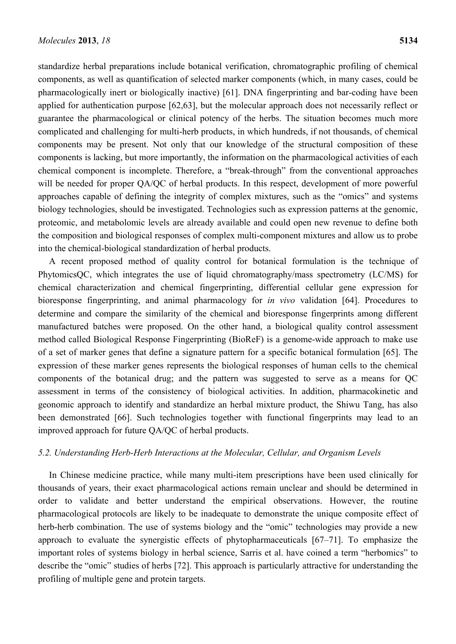standardize herbal preparations include botanical verification, chromatographic profiling of chemical components, as well as quantification of selected marker components (which, in many cases, could be pharmacologically inert or biologically inactive) [61]. DNA fingerprinting and bar-coding have been applied for authentication purpose [62,63], but the molecular approach does not necessarily reflect or guarantee the pharmacological or clinical potency of the herbs. The situation becomes much more complicated and challenging for multi-herb products, in which hundreds, if not thousands, of chemical components may be present. Not only that our knowledge of the structural composition of these components is lacking, but more importantly, the information on the pharmacological activities of each chemical component is incomplete. Therefore, a "break-through" from the conventional approaches will be needed for proper QA/QC of herbal products. In this respect, development of more powerful approaches capable of defining the integrity of complex mixtures, such as the "omics" and systems biology technologies, should be investigated. Technologies such as expression patterns at the genomic, proteomic, and metabolomic levels are already available and could open new revenue to define both the composition and biological responses of complex multi-component mixtures and allow us to probe into the chemical-biological standardization of herbal products.

A recent proposed method of quality control for botanical formulation is the technique of PhytomicsQC, which integrates the use of liquid chromatography/mass spectrometry (LC/MS) for chemical characterization and chemical fingerprinting, differential cellular gene expression for bioresponse fingerprinting, and animal pharmacology for *in vivo* validation [64]. Procedures to determine and compare the similarity of the chemical and bioresponse fingerprints among different manufactured batches were proposed. On the other hand, a biological quality control assessment method called Biological Response Fingerprinting (BioReF) is a genome-wide approach to make use of a set of marker genes that define a signature pattern for a specific botanical formulation [65]. The expression of these marker genes represents the biological responses of human cells to the chemical components of the botanical drug; and the pattern was suggested to serve as a means for QC assessment in terms of the consistency of biological activities. In addition, pharmacokinetic and geonomic approach to identify and standardize an herbal mixture product, the Shiwu Tang, has also been demonstrated [66]. Such technologies together with functional fingerprints may lead to an improved approach for future QA/QC of herbal products.

## *5.2. Understanding Herb-Herb Interactions at the Molecular, Cellular, and Organism Levels*

In Chinese medicine practice, while many multi-item prescriptions have been used clinically for thousands of years, their exact pharmacological actions remain unclear and should be determined in order to validate and better understand the empirical observations. However, the routine pharmacological protocols are likely to be inadequate to demonstrate the unique composite effect of herb-herb combination. The use of systems biology and the "omic" technologies may provide a new approach to evaluate the synergistic effects of phytopharmaceuticals [67–71]. To emphasize the important roles of systems biology in herbal science, Sarris et al. have coined a term "herbomics" to describe the "omic" studies of herbs [72]. This approach is particularly attractive for understanding the profiling of multiple gene and protein targets.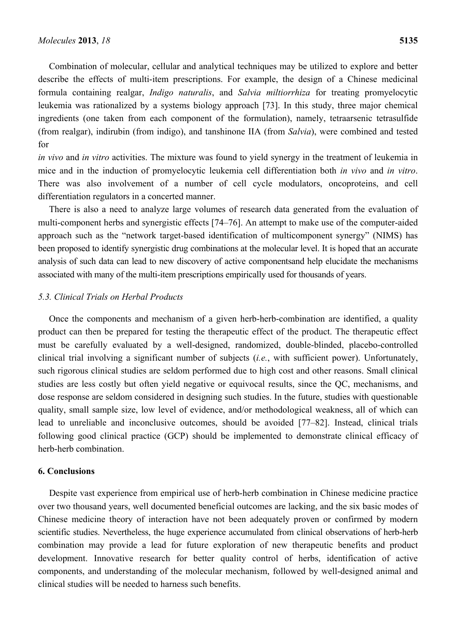Combination of molecular, cellular and analytical techniques may be utilized to explore and better describe the effects of multi-item prescriptions. For example, the design of a Chinese medicinal formula containing realgar, *Indigo naturalis*, and *Salvia miltiorrhiza* for treating promyelocytic leukemia was rationalized by a systems biology approach [73]. In this study, three major chemical ingredients (one taken from each component of the formulation), namely, tetraarsenic tetrasulfide (from realgar), indirubin (from indigo), and tanshinone IIA (from *Salvia*), were combined and tested for

*in vivo* and *in vitro* activities. The mixture was found to yield synergy in the treatment of leukemia in mice and in the induction of promyelocytic leukemia cell differentiation both *in vivo* and *in vitro*. There was also involvement of a number of cell cycle modulators, oncoproteins, and cell differentiation regulators in a concerted manner.

There is also a need to analyze large volumes of research data generated from the evaluation of multi-component herbs and synergistic effects [74–76]. An attempt to make use of the computer-aided approach such as the "network target-based identification of multicomponent synergy" (NIMS) has been proposed to identify synergistic drug combinations at the molecular level. It is hoped that an accurate analysis of such data can lead to new discovery of active componentsand help elucidate the mechanisms associated with many of the multi-item prescriptions empirically used for thousands of years.

## *5.3. Clinical Trials on Herbal Products*

Once the components and mechanism of a given herb-herb-combination are identified, a quality product can then be prepared for testing the therapeutic effect of the product. The therapeutic effect must be carefully evaluated by a well-designed, randomized, double-blinded, placebo-controlled clinical trial involving a significant number of subjects (*i.e.*, with sufficient power). Unfortunately, such rigorous clinical studies are seldom performed due to high cost and other reasons. Small clinical studies are less costly but often yield negative or equivocal results, since the QC, mechanisms, and dose response are seldom considered in designing such studies. In the future, studies with questionable quality, small sample size, low level of evidence, and/or methodological weakness, all of which can lead to unreliable and inconclusive outcomes, should be avoided [77–82]. Instead, clinical trials following good clinical practice (GCP) should be implemented to demonstrate clinical efficacy of herb-herb combination.

#### **6. Conclusions**

Despite vast experience from empirical use of herb-herb combination in Chinese medicine practice over two thousand years, well documented beneficial outcomes are lacking, and the six basic modes of Chinese medicine theory of interaction have not been adequately proven or confirmed by modern scientific studies. Nevertheless, the huge experience accumulated from clinical observations of herb-herb combination may provide a lead for future exploration of new therapeutic benefits and product development. Innovative research for better quality control of herbs, identification of active components, and understanding of the molecular mechanism, followed by well-designed animal and clinical studies will be needed to harness such benefits.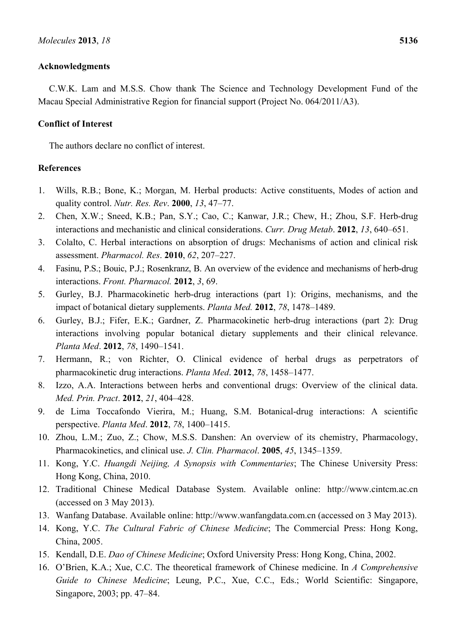## **Acknowledgments**

C.W.K. Lam and M.S.S. Chow thank The Science and Technology Development Fund of the Macau Special Administrative Region for financial support (Project No. 064/2011/A3).

## **Conflict of Interest**

The authors declare no conflict of interest.

## **References**

- 1. Wills, R.B.; Bone, K.; Morgan, M. Herbal products: Active constituents, Modes of action and quality control. *Nutr. Res. Rev*. **2000**, *13*, 47–77.
- 2. Chen, X.W.; Sneed, K.B.; Pan, S.Y.; Cao, C.; Kanwar, J.R.; Chew, H.; Zhou, S.F. Herb-drug interactions and mechanistic and clinical considerations. *Curr. Drug Metab*. **2012**, *13*, 640–651.
- 3. Colalto, C. Herbal interactions on absorption of drugs: Mechanisms of action and clinical risk assessment. *Pharmacol. Res*. **2010**, *62*, 207–227.
- 4. Fasinu, P.S.; Bouic, P.J.; Rosenkranz, B. An overview of the evidence and mechanisms of herb-drug interactions. *Front. Pharmacol.* **2012**, *3*, 69.
- 5. Gurley, B.J. Pharmacokinetic herb-drug interactions (part 1): Origins, mechanisms, and the impact of botanical dietary supplements. *Planta Med.* **2012**, *78*, 1478–1489.
- 6. Gurley, B.J.; Fifer, E.K.; Gardner, Z. Pharmacokinetic herb-drug interactions (part 2): Drug interactions involving popular botanical dietary supplements and their clinical relevance. *Planta Med*. **2012**, *78*, 1490–1541.
- 7. Hermann, R.; von Richter, O. Clinical evidence of herbal drugs as perpetrators of pharmacokinetic drug interactions. *Planta Med*. **2012**, *78*, 1458–1477.
- 8. Izzo, A.A. Interactions between herbs and conventional drugs: Overview of the clinical data. *Med. Prin. Pract*. **2012**, *21*, 404–428.
- 9. de Lima Toccafondo Vierira, M.; Huang, S.M. Botanical-drug interactions: A scientific perspective. *Planta Med*. **2012**, *78*, 1400–1415.
- 10. Zhou, L.M.; Zuo, Z.; Chow, M.S.S. Danshen: An overview of its chemistry, Pharmacology, Pharmacokinetics, and clinical use. *J. Clin. Pharmacol*. **2005**, *45*, 1345–1359.
- 11. Kong, Y.C. *Huangdi Neijing, A Synopsis with Commentaries*; The Chinese University Press: Hong Kong, China, 2010.
- 12. Traditional Chinese Medical Database System. Available online: http://www.cintcm.ac.cn (accessed on 3 May 2013).
- 13. Wanfang Database. Available online: http://www.wanfangdata.com.cn (accessed on 3 May 2013).
- 14. Kong, Y.C. *The Cultural Fabric of Chinese Medicine*; The Commercial Press: Hong Kong, China, 2005.
- 15. Kendall, D.E. *Dao of Chinese Medicine*; Oxford University Press: Hong Kong, China, 2002.
- 16. O'Brien, K.A.; Xue, C.C. The theoretical framework of Chinese medicine. In *A Comprehensive Guide to Chinese Medicine*; Leung, P.C., Xue, C.C., Eds.; World Scientific: Singapore, Singapore, 2003; pp. 47–84.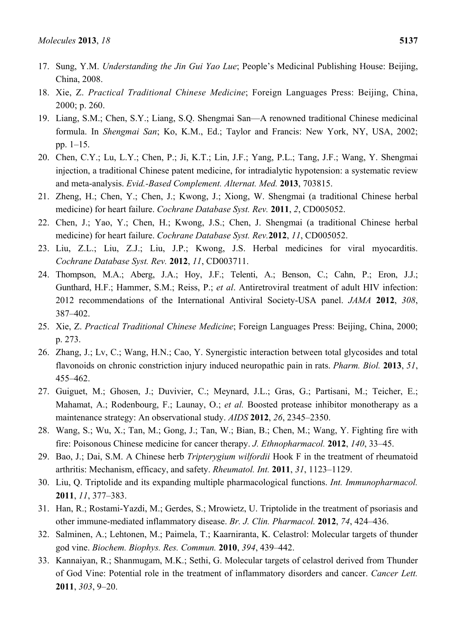- 17. Sung, Y.M. *Understanding the Jin Gui Yao Lue*; People's Medicinal Publishing House: Beijing, China, 2008.
- 18. Xie, Z. *Practical Traditional Chinese Medicine*; Foreign Languages Press: Beijing, China, 2000; p. 260.
- 19. Liang, S.M.; Chen, S.Y.; Liang, S.Q. Shengmai San—A renowned traditional Chinese medicinal formula. In *Shengmai San*; Ko, K.M., Ed.; Taylor and Francis: New York, NY, USA, 2002; pp. 1–15.
- 20. Chen, C.Y.; Lu, L.Y.; Chen, P.; Ji, K.T.; Lin, J.F.; Yang, P.L.; Tang, J.F.; Wang, Y. Shengmai injection, a traditional Chinese patent medicine, for intradialytic hypotension: a systematic review and meta-analysis. *Evid.-Based Complement. Alternat. Med.* **2013**, 703815.
- 21. Zheng, H.; Chen, Y.; Chen, J.; Kwong, J.; Xiong, W. Shengmai (a traditional Chinese herbal medicine) for heart failure. *Cochrane Database Syst. Rev.* **2011**, *2*, CD005052.
- 22. Chen, J.; Yao, Y.; Chen, H.; Kwong, J.S.; Chen, J. Shengmai (a traditional Chinese herbal medicine) for heart failure. *Cochrane Database Syst. Rev.***2012**, *11*, CD005052.
- 23. Liu, Z.L.; Liu, Z.J.; Liu, J.P.; Kwong, J.S. Herbal medicines for viral myocarditis. *Cochrane Database Syst. Rev.* **2012**, *11*, CD003711.
- 24. Thompson, M.A.; Aberg, J.A.; Hoy, J.F.; Telenti, A.; Benson, C.; Cahn, P.; Eron, J.J.; Gunthard, H.F.; Hammer, S.M.; Reiss, P.; *et al*. Antiretroviral treatment of adult HIV infection: 2012 recommendations of the International Antiviral Society-USA panel. *JAMA* **2012**, *308*, 387–402.
- 25. Xie, Z. *Practical Traditional Chinese Medicine*; Foreign Languages Press: Beijing, China, 2000; p. 273.
- 26. Zhang, J.; Lv, C.; Wang, H.N.; Cao, Y. Synergistic interaction between total glycosides and total flavonoids on chronic constriction injury induced neuropathic pain in rats. *Pharm. Biol.* **2013**, *51*, 455–462.
- 27. Guiguet, M.; Ghosen, J.; Duvivier, C.; Meynard, J.L.; Gras, G.; Partisani, M.; Teicher, E.; Mahamat, A.; Rodenbourg, F.; Launay, O.; *et al.* Boosted protease inhibitor monotherapy as a maintenance strategy: An observational study. *AIDS* **2012**, *26*, 2345–2350.
- 28. Wang, S.; Wu, X.; Tan, M.; Gong, J.; Tan, W.; Bian, B.; Chen, M.; Wang, Y. Fighting fire with fire: Poisonous Chinese medicine for cancer therapy. *J. Ethnopharmacol.* **2012**, *140*, 33–45.
- 29. Bao, J.; Dai, S.M. A Chinese herb *Tripterygium wilfordii* Hook F in the treatment of rheumatoid arthritis: Mechanism, efficacy, and safety. *Rheumatol. Int.* **2011**, *31*, 1123–1129.
- 30. Liu, Q. Triptolide and its expanding multiple pharmacological functions. *Int. Immunopharmacol.* **2011**, *11*, 377–383.
- 31. Han, R.; Rostami-Yazdi, M.; Gerdes, S.; Mrowietz, U. Triptolide in the treatment of psoriasis and other immune-mediated inflammatory disease. *Br. J. Clin. Pharmacol.* **2012**, *74*, 424–436.
- 32. Salminen, A.; Lehtonen, M.; Paimela, T.; Kaarniranta, K. Celastrol: Molecular targets of thunder god vine. *Biochem. Biophys. Res. Commun.* **2010**, *394*, 439–442.
- 33. Kannaiyan, R.; Shanmugam, M.K.; Sethi, G. Molecular targets of celastrol derived from Thunder of God Vine: Potential role in the treatment of inflammatory disorders and cancer. *Cancer Lett.* **2011**, *303*, 9–20.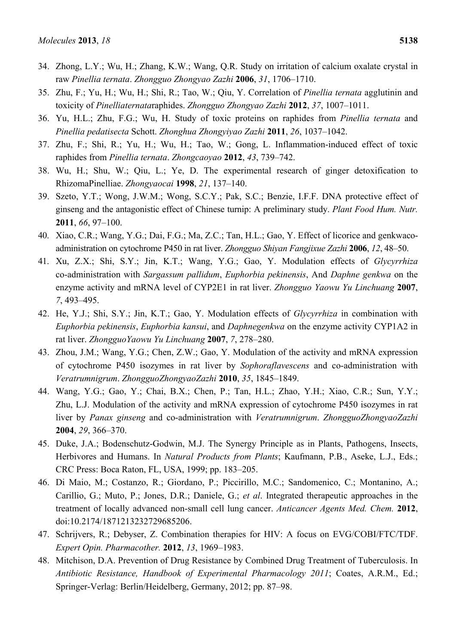- 34. Zhong, L.Y.; Wu, H.; Zhang, K.W.; Wang, Q.R. Study on irritation of calcium oxalate crystal in raw *Pinellia ternata*. *Zhongguo Zhongyao Zazhi* **2006**, *31*, 1706–1710.
- 35. Zhu, F.; Yu, H.; Wu, H.; Shi, R.; Tao, W.; Qiu, Y. Correlation of *Pinellia ternata* agglutinin and toxicity of *Pinelliaternata*raphides. *Zhongguo Zhongyao Zazhi* **2012**, *37*, 1007–1011.
- 36. Yu, H.L.; Zhu, F.G.; Wu, H. Study of toxic proteins on raphides from *Pinellia ternata* and *Pinellia pedatisecta* Schott. *Zhonghua Zhongyiyao Zazhi* **2011**, *26*, 1037–1042.
- 37. Zhu, F.; Shi, R.; Yu, H.; Wu, H.; Tao, W.; Gong, L. Inflammation-induced effect of toxic raphides from *Pinellia ternata*. *Zhongcaoyao* **2012**, *43*, 739–742.
- 38. Wu, H.; Shu, W.; Qiu, L.; Ye, D. The experimental research of ginger detoxification to RhizomaPinelliae. *Zhongyaocai* **1998**, *21*, 137–140.
- 39. Szeto, Y.T.; Wong, J.W.M.; Wong, S.C.Y.; Pak, S.C.; Benzie, I.F.F. DNA protective effect of ginseng and the antagonistic effect of Chinese turnip: A preliminary study. *Plant Food Hum. Nutr.* **2011**, *66*, 97–100.
- 40. Xiao, C.R.; Wang, Y.G.; Dai, F.G.; Ma, Z.C.; Tan, H.L.; Gao, Y. Effect of licorice and genkwacoadministration on cytochrome P450 in rat liver. *Zhongguo Shiyan Fangjixue Zazhi* **2006**, *12*, 48–50.
- 41. Xu, Z.X.; Shi, S.Y.; Jin, K.T.; Wang, Y.G.; Gao, Y. Modulation effects of *Glycyrrhiza*  co-administration with *Sargassum pallidum*, *Euphorbia pekinensis*, And *Daphne genkwa* on the enzyme activity and mRNA level of CYP2E1 in rat liver. *Zhongguo Yaowu Yu Linchuang* **2007**, *7*, 493–495.
- 42. He, Y.J.; Shi, S.Y.; Jin, K.T.; Gao, Y. Modulation effects of *Glycyrrhiza* in combination with *Euphorbia pekinensis*, *Euphorbia kansui*, and *Daphnegenkwa* on the enzyme activity CYP1A2 in rat liver. *ZhongguoYaowu Yu Linchuang* **2007**, *7*, 278–280.
- 43. Zhou, J.M.; Wang, Y.G.; Chen, Z.W.; Gao, Y. Modulation of the activity and mRNA expression of cytochrome P450 isozymes in rat liver by *Sophoraflavescens* and co-administration with *Veratrumnigrum*. *ZhongguoZhongyaoZazhi* **2010**, *35*, 1845–1849.
- 44. Wang, Y.G.; Gao, Y.; Chai, B.X.; Chen, P.; Tan, H.L.; Zhao, Y.H.; Xiao, C.R.; Sun, Y.Y.; Zhu, L.J. Modulation of the activity and mRNA expression of cytochrome P450 isozymes in rat liver by *Panax ginseng* and co-administration with *Veratrumnigrum*. *ZhongguoZhongyaoZazhi* **2004**, *29*, 366–370.
- 45. Duke, J.A.; Bodenschutz-Godwin, M.J. The Synergy Principle as in Plants, Pathogens, Insects, Herbivores and Humans. In *Natural Products from Plants*; Kaufmann, P.B., Aseke, L.J., Eds.; CRC Press: Boca Raton, FL, USA, 1999; pp. 183–205.
- 46. Di Maio, M.; Costanzo, R.; Giordano, P.; Piccirillo, M.C.; Sandomenico, C.; Montanino, A.; Carillio, G.; Muto, P.; Jones, D.R.; Daniele, G.; *et al*. Integrated therapeutic approaches in the treatment of locally advanced non-small cell lung cancer. *Anticancer Agents Med. Chem.* **2012**, doi:10.2174/1871213232729685206.
- 47. Schrijvers, R.; Debyser, Z. Combination therapies for HIV: A focus on EVG/COBI/FTC/TDF. *Expert Opin. Pharmacother.* **2012**, *13*, 1969–1983.
- 48. Mitchison, D.A. Prevention of Drug Resistance by Combined Drug Treatment of Tuberculosis. In *Antibiotic Resistance, Handbook of Experimental Pharmacology 2011*; Coates, A.R.M., Ed.; Springer-Verlag: Berlin/Heidelberg, Germany, 2012; pp. 87–98.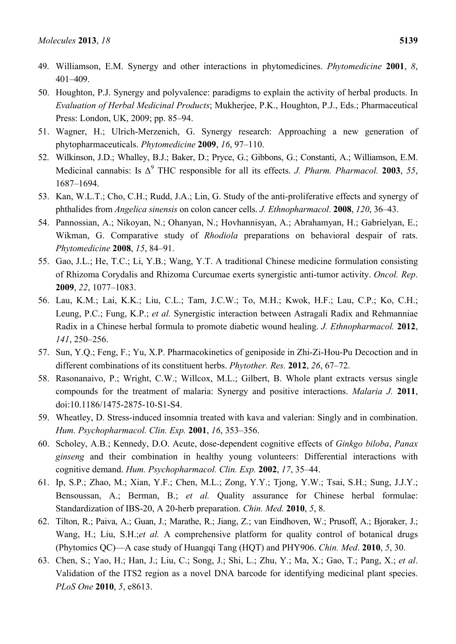- 49. Williamson, E.M. Synergy and other interactions in phytomedicines. *Phytomedicine* **2001**, *8*, 401–409.
- 50. Houghton, P.J. Synergy and polyvalence: paradigms to explain the activity of herbal products. In *Evaluation of Herbal Medicinal Products*; Mukherjee, P.K., Houghton, P.J., Eds.; Pharmaceutical Press: London, UK, 2009; pp. 85–94.
- 51. Wagner, H.; Ulrich-Merzenich, G. Synergy research: Approaching a new generation of phytopharmaceuticals. *Phytomedicine* **2009**, *16*, 97–110.
- 52. Wilkinson, J.D.; Whalley, B.J.; Baker, D.; Pryce, G.; Gibbons, G.; Constanti, A.; Williamson, E.M. Medicinal cannabis: Is  $\Delta^9$  THC responsible for all its effects. *J. Pharm. Pharmacol.* **2003**, 55, 1687–1694.
- 53. Kan, W.L.T.; Cho, C.H.; Rudd, J.A.; Lin, G. Study of the anti-proliferative effects and synergy of phthalides from *Angelica sinensis* on colon cancer cells. *J. Ethnopharmacol*. **2008**, *120*, 36–43.
- 54. Pannossian, A.; Nikoyan, N.; Ohanyan, N.; Hovhannisyan, A.; Abrahamyan, H.; Gabrielyan, E.; Wikman, G. Comparative study of *Rhodiola* preparations on behavioral despair of rats. *Phytomedicine* **2008**, *15*, 84–91.
- 55. Gao, J.L.; He, T.C.; Li, Y.B.; Wang, Y.T. A traditional Chinese medicine formulation consisting of Rhizoma Corydalis and Rhizoma Curcumae exerts synergistic anti-tumor activity. *Oncol. Rep*. **2009**, *22*, 1077–1083.
- 56. Lau, K.M.; Lai, K.K.; Liu, C.L.; Tam, J.C.W.; To, M.H.; Kwok, H.F.; Lau, C.P.; Ko, C.H.; Leung, P.C.; Fung, K.P.; *et al.* Synergistic interaction between Astragali Radix and Rehmanniae Radix in a Chinese herbal formula to promote diabetic wound healing. *J. Ethnopharmacol.* **2012**, *141*, 250–256.
- 57. Sun, Y.Q.; Feng, F.; Yu, X.P. Pharmacokinetics of geniposide in Zhi-Zi-Hou-Pu Decoction and in different combinations of its constituent herbs. *Phytother. Res.* **2012**, *26*, 67–72.
- 58. Rasonanaivo, P.; Wright, C.W.; Willcox, M.L.; Gilbert, B. Whole plant extracts versus single compounds for the treatment of malaria: Synergy and positive interactions. *Malaria J.* **2011**, doi:10.1186/1475-2875-10-S1-S4.
- 59. Wheatley, D. Stress-induced insomnia treated with kava and valerian: Singly and in combination. *Hum. Psychopharmacol. Clin. Exp.* **2001**, *16*, 353–356.
- 60. Scholey, A.B.; Kennedy, D.O. Acute, dose-dependent cognitive effects of *Ginkgo biloba*, *Panax ginseng* and their combination in healthy young volunteers: Differential interactions with cognitive demand. *Hum. Psychopharmacol. Clin. Exp.* **2002**, *17*, 35–44.
- 61. Ip, S.P.; Zhao, M.; Xian, Y.F.; Chen, M.L.; Zong, Y.Y.; Tjong, Y.W.; Tsai, S.H.; Sung, J.J.Y.; Bensoussan, A.; Berman, B.; *et al.* Quality assurance for Chinese herbal formulae: Standardization of IBS-20, A 20-herb preparation. *Chin. Med.* **2010**, *5*, 8.
- 62. Tilton, R.; Paiva, A.; Guan, J.; Marathe, R.; Jiang, Z.; van Eindhoven, W.; Prusoff, A.; Bjoraker, J.; Wang, H.; Liu, S.H.;*et al.* A comprehensive platform for quality control of botanical drugs (Phytomics QC)—A case study of Huangqi Tang (HQT) and PHY906. *Chin. Med*. **2010**, *5*, 30.
- 63. Chen, S.; Yao, H.; Han, J.; Liu, C.; Song, J.; Shi, L.; Zhu, Y.; Ma, X.; Gao, T.; Pang, X.; *et al*. Validation of the ITS2 region as a novel DNA barcode for identifying medicinal plant species. *PLoS One* **2010**, *5*, e8613.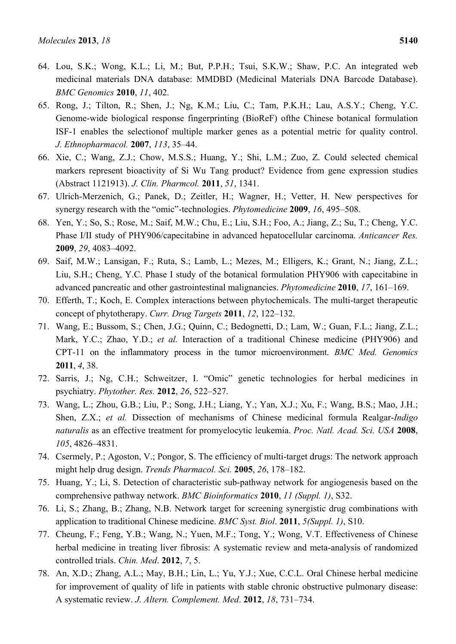- 64. Lou, S.K.; Wong, K.L.; Li, M.; But, P.P.H.; Tsui, S.K.W.; Shaw, P.C. An integrated web medicinal materials DNA database: MMDBD (Medicinal Materials DNA Barcode Database). *BMC Genomics* **2010**, *11*, 402.
- 65. Rong, J.; Tilton, R.; Shen, J.; Ng, K.M.; Liu, C.; Tam, P.K.H.; Lau, A.S.Y.; Cheng, Y.C. Genome-wide biological response fingerprinting (BioReF) ofthe Chinese botanical formulation ISF-1 enables the selectionof multiple marker genes as a potential metric for quality control. *J. Ethnopharmacol.* **2007**, *113*, 35–44.
- 66. Xie, C.; Wang, Z.J.; Chow, M.S.S.; Huang, Y.; Shi, L.M.; Zuo, Z. Could selected chemical markers represent bioactivity of Si Wu Tang product? Evidence from gene expression studies (Abstract 1121913). *J. Clin. Pharmcol.* **2011**, *51*, 1341.
- 67. Ulrich-Merzenich, G.; Panek, D.; Zeitler, H.; Wagner, H.; Vetter, H. New perspectives for synergy research with the "omic"-technologies. *Phytomedicine* **2009**, *16*, 495–508.
- 68. Yen, Y.; So, S.; Rose, M.; Saif, M.W.; Chu, E.; Liu, S.H.; Foo, A.; Jiang, Z.; Su, T.; Cheng, Y.C. Phase I/II study of PHY906/capecitabine in advanced hepatocellular carcinoma. *Anticancer Res.* **2009**, *29*, 4083–4092.
- 69. Saif, M.W.; Lansigan, F.; Ruta, S.; Lamb, L.; Mezes, M.; Elligers, K.; Grant, N.; Jiang, Z.L.; Liu, S.H.; Cheng, Y.C. Phase I study of the botanical formulation PHY906 with capecitabine in advanced pancreatic and other gastrointestinal malignancies. *Phytomedicine* **2010**, *17*, 161–169.
- 70. Efferth, T.; Koch, E. Complex interactions between phytochemicals. The multi-target therapeutic concept of phytotherapy. *Curr. Drug Targets* **2011**, *12*, 122–132.
- 71. Wang, E.; Bussom, S.; Chen, J.G.; Quinn, C.; Bedognetti, D.; Lam, W.; Guan, F.L.; Jiang, Z.L.; Mark, Y.C.; Zhao, Y.D.; *et al.* Interaction of a traditional Chinese medicine (PHY906) and CPT-11 on the inflammatory process in the tumor microenvironment. *BMC Med. Genomics* **2011**, *4*, 38.
- 72. Sarris, J.; Ng, C.H.; Schweitzer, I. "Omic" genetic technologies for herbal medicines in psychiatry. *Phytother. Res.* **2012**, *26*, 522–527.
- 73. Wang, L.; Zhou, G.B.; Liu, P.; Song, J.H.; Liang, Y.; Yan, X.J.; Xu, F.; Wang, B.S.; Mao, J.H.; Shen, Z.X.; *et al.* Dissection of mechanisms of Chinese medicinal formula Realgar-*Indigo naturalis* as an effective treatment for promyelocytic leukemia. *Proc. Natl. Acad. Sci. USA* **2008**, *105*, 4826–4831.
- 74. Csermely, P.; Agoston, V.; Pongor, S. The efficiency of multi-target drugs: The network approach might help drug design. *Trends Pharmacol. Sci.* **2005**, *26*, 178–182.
- 75. Huang, Y.; Li, S. Detection of characteristic sub-pathway network for angiogenesis based on the comprehensive pathway network. *BMC Bioinformatics* **2010**, *11 (Suppl. 1)*, S32.
- 76. Li, S.; Zhang, B.; Zhang, N.B. Network target for screening synergistic drug combinations with application to traditional Chinese medicine. *BMC Syst. Biol*. **2011**, *5(Suppl. 1)*, S10.
- 77. Cheung, F.; Feng, Y.B.; Wang, N.; Yuen, M.F.; Tong, Y.; Wong, V.T. Effectiveness of Chinese herbal medicine in treating liver fibrosis: A systematic review and meta-analysis of randomized controlled trials. *Chin. Med*. **2012**, *7*, 5.
- 78. An, X.D.; Zhang, A.L.; May, B.H.; Lin, L.; Yu, Y.J.; Xue, C.C.L. Oral Chinese herbal medicine for improvement of quality of life in patients with stable chronic obstructive pulmonary disease: A systematic review. *J. Altern. Complement. Med*. **2012**, *18*, 731–734.